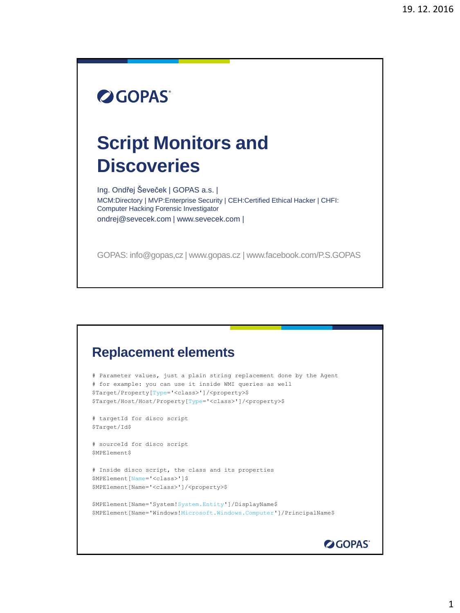## **OGOPAS**

# **Script Monitors and Discoveries**

Ing. Ondřej Ševeček | GOPAS a.s. | MCM:Directory | MVP:Enterprise Security | CEH:Certified Ethical Hacker | CHFI: Computer Hacking Forensic Investigator ondrej@sevecek.com | www.sevecek.com |

GOPAS: info@gopas,cz | www.gopas.cz | www.facebook.com/P.S.GOPAS

### **Replacement elements**

```
# Parameter values, just a plain string replacement done by the Agent
# for example: you can use it inside WMI queries as well
$Target/Property[Type='<class>']/<property>$
$Target/Host/Host/Property[Type='<class>']/<property>$
```
# targetId for disco script \$Target/Id\$

# sourceId for disco script \$MPElement\$

# Inside disco script, the class and its properties \$MPElement[Name='<class>']\$ \$MPElement[Name='<class>']/<property>\$

```
$MPElement[Name='System!System.Entity']/DisplayName$
$MPElement[Name='Windows!Microsoft.Windows.Computer']/PrincipalName$
```
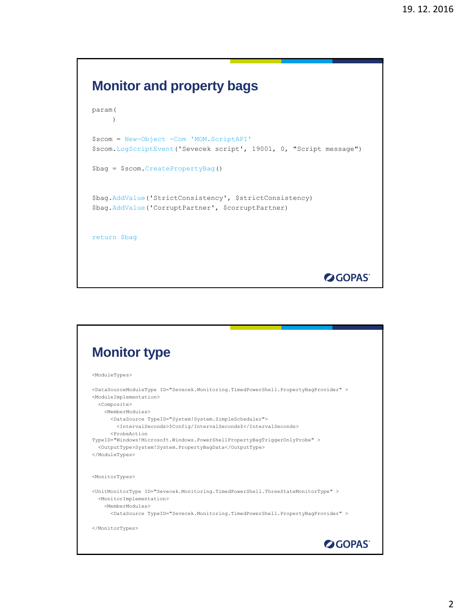### **Monitor and property bags**

```
param(
     )
$scom = New-Object -Com 'MOM.ScriptAPI'
$scom.LogScriptEvent('Sevecek script', 19001, 0, "Script message")
$bag = $scom.CreatePropertyBag()
$bag.AddValue('StrictConsistency', $strictConsistency)
$bag.AddValue('CorruptPartner', $corruptPartner)
return $bag
                                                        OGOPAS
```
#### **Monitor type** <ModuleTypes>  $<\!\!\texttt{DataSourceModuleType ID="Seveck.Monitory.TimedPowerShell.PropertyBagProvider" }>\!\!\!\!>$ <ModuleImplementation> <Composite> <MemberModules> <DataSource TypeID="System!System.SimpleScheduler"> <IntervalSeconds>\$Config/IntervalSeconds\$</IntervalSeconds> <ProbeAction TypeID="Windows!Microsoft.Windows.PowerShellPropertyBagTriggerOnlyProbe" > <OutputType>System!System.PropertyBagData</OutputType> </ModuleTypes> <MonitorTypes> <UnitMonitorType ID="Sevecek.Monitoring.TimedPowerShell.ThreeStateMonitorType" > <MonitorImplementation> <MemberModules> <DataSource TypeID="Sevecek.Monitoring.TimedPowerShell.PropertyBagProvider" > </MonitorTypes>**OGOPAS**